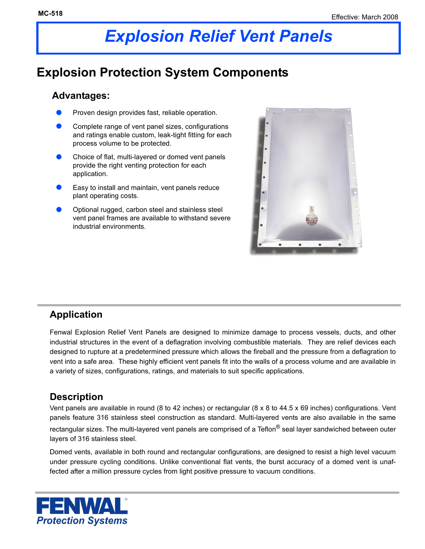# *Explosion Relief Vent Panels*

# **Explosion Protection System Components**

#### **Advantages:**

- Proven design provides fast, reliable operation.
- Complete range of vent panel sizes, configurations and ratings enable custom, leak-tight fitting for each process volume to be protected.
- Choice of flat, multi-layered or domed vent panels provide the right venting protection for each application.
- Easy to install and maintain, vent panels reduce plant operating costs.
- Optional rugged, carbon steel and stainless steel vent panel frames are available to withstand severe industrial environments.



## **Application**

Fenwal Explosion Relief Vent Panels are designed to minimize damage to process vessels, ducts, and other industrial structures in the event of a deflagration involving combustible materials. They are relief devices each designed to rupture at a predetermined pressure which allows the fireball and the pressure from a deflagration to vent into a safe area. These highly efficient vent panels fit into the walls of a process volume and are available in a variety of sizes, configurations, ratings, and materials to suit specific applications.

#### **Description**

Vent panels are available in round (8 to 42 inches) or rectangular (8 x 8 to 44.5 x 69 inches) configurations. Vent panels feature 316 stainless steel construction as standard. Multi-layered vents are also available in the same rectangular sizes. The multi-layered vent panels are comprised of a Teflon® seal layer sandwiched between outer layers of 316 stainless steel.

Domed vents, available in both round and rectangular configurations, are designed to resist a high level vacuum under pressure cycling conditions. Unlike conventional flat vents, the burst accuracy of a domed vent is unaffected after a million pressure cycles from light positive pressure to vacuum conditions.